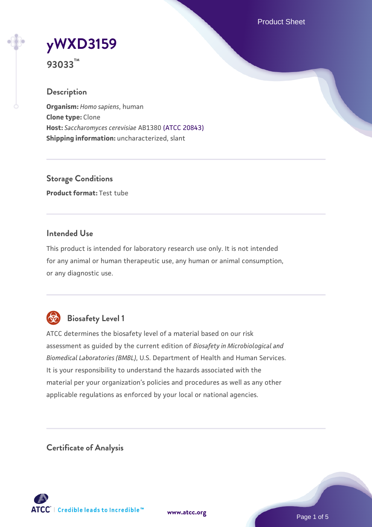Product Sheet

# **[yWXD3159](https://www.atcc.org/products/93033)**

**93033™**

## **Description**

**Organism:** *Homo sapiens*, human **Clone type:** Clone **Host:** *Saccharomyces cerevisiae* AB1380 [\(ATCC 20843\)](https://www.atcc.org/products/20843) **Shipping information:** uncharacterized, slant

**Storage Conditions Product format:** Test tube

## **Intended Use**

This product is intended for laboratory research use only. It is not intended for any animal or human therapeutic use, any human or animal consumption, or any diagnostic use.



# **Biosafety Level 1**

ATCC determines the biosafety level of a material based on our risk assessment as guided by the current edition of *Biosafety in Microbiological and Biomedical Laboratories (BMBL)*, U.S. Department of Health and Human Services. It is your responsibility to understand the hazards associated with the material per your organization's policies and procedures as well as any other applicable regulations as enforced by your local or national agencies.

**Certificate of Analysis**

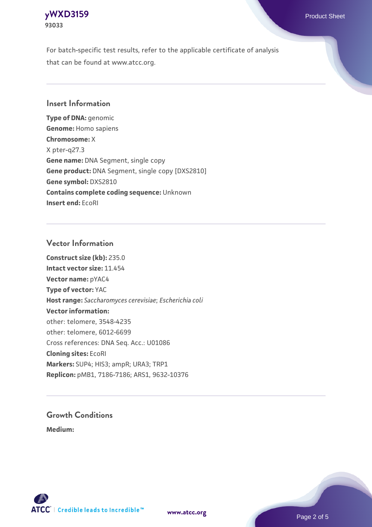## **[yWXD3159](https://www.atcc.org/products/93033)** Product Sheet **93033**

For batch-specific test results, refer to the applicable certificate of analysis that can be found at www.atcc.org.

## **Insert Information**

**Type of DNA:** genomic **Genome:** Homo sapiens **Chromosome:** X X pter-q27.3 **Gene name:** DNA Segment, single copy **Gene product:** DNA Segment, single copy [DXS2810] **Gene symbol:** DXS2810 **Contains complete coding sequence:** Unknown **Insert end:** EcoRI

## **Vector Information**

**Construct size (kb):** 235.0 **Intact vector size:** 11.454 **Vector name:** pYAC4 **Type of vector:** YAC **Host range:** *Saccharomyces cerevisiae*; *Escherichia coli* **Vector information:** other: telomere, 3548-4235 other: telomere, 6012-6699 Cross references: DNA Seq. Acc.: U01086 **Cloning sites:** EcoRI **Markers:** SUP4; HIS3; ampR; URA3; TRP1 **Replicon:** pMB1, 7186-7186; ARS1, 9632-10376

# **Growth Conditions**

**Medium:** 



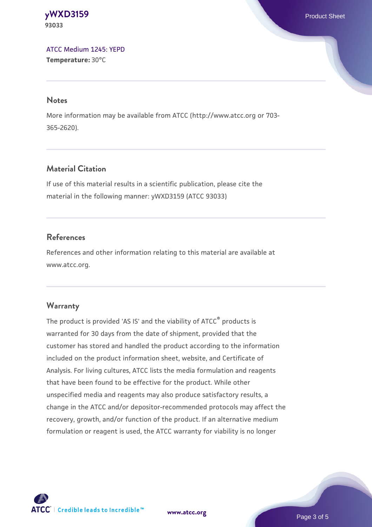**[yWXD3159](https://www.atcc.org/products/93033)** Product Sheet **93033**

[ATCC Medium 1245: YEPD](https://www.atcc.org/-/media/product-assets/documents/microbial-media-formulations/1/2/4/5/atcc-medium-1245.pdf?rev=705ca55d1b6f490a808a965d5c072196) **Temperature:** 30°C

#### **Notes**

More information may be available from ATCC (http://www.atcc.org or 703- 365-2620).

## **Material Citation**

If use of this material results in a scientific publication, please cite the material in the following manner: yWXD3159 (ATCC 93033)

## **References**

References and other information relating to this material are available at www.atcc.org.

#### **Warranty**

The product is provided 'AS IS' and the viability of ATCC® products is warranted for 30 days from the date of shipment, provided that the customer has stored and handled the product according to the information included on the product information sheet, website, and Certificate of Analysis. For living cultures, ATCC lists the media formulation and reagents that have been found to be effective for the product. While other unspecified media and reagents may also produce satisfactory results, a change in the ATCC and/or depositor-recommended protocols may affect the recovery, growth, and/or function of the product. If an alternative medium formulation or reagent is used, the ATCC warranty for viability is no longer



**[www.atcc.org](http://www.atcc.org)**

Page 3 of 5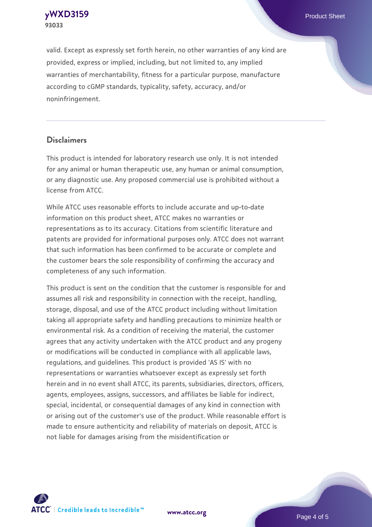**[yWXD3159](https://www.atcc.org/products/93033)** Product Sheet **93033**

valid. Except as expressly set forth herein, no other warranties of any kind are provided, express or implied, including, but not limited to, any implied warranties of merchantability, fitness for a particular purpose, manufacture according to cGMP standards, typicality, safety, accuracy, and/or noninfringement.

#### **Disclaimers**

This product is intended for laboratory research use only. It is not intended for any animal or human therapeutic use, any human or animal consumption, or any diagnostic use. Any proposed commercial use is prohibited without a license from ATCC.

While ATCC uses reasonable efforts to include accurate and up-to-date information on this product sheet, ATCC makes no warranties or representations as to its accuracy. Citations from scientific literature and patents are provided for informational purposes only. ATCC does not warrant that such information has been confirmed to be accurate or complete and the customer bears the sole responsibility of confirming the accuracy and completeness of any such information.

This product is sent on the condition that the customer is responsible for and assumes all risk and responsibility in connection with the receipt, handling, storage, disposal, and use of the ATCC product including without limitation taking all appropriate safety and handling precautions to minimize health or environmental risk. As a condition of receiving the material, the customer agrees that any activity undertaken with the ATCC product and any progeny or modifications will be conducted in compliance with all applicable laws, regulations, and guidelines. This product is provided 'AS IS' with no representations or warranties whatsoever except as expressly set forth herein and in no event shall ATCC, its parents, subsidiaries, directors, officers, agents, employees, assigns, successors, and affiliates be liable for indirect, special, incidental, or consequential damages of any kind in connection with or arising out of the customer's use of the product. While reasonable effort is made to ensure authenticity and reliability of materials on deposit, ATCC is not liable for damages arising from the misidentification or



**[www.atcc.org](http://www.atcc.org)**

Page 4 of 5